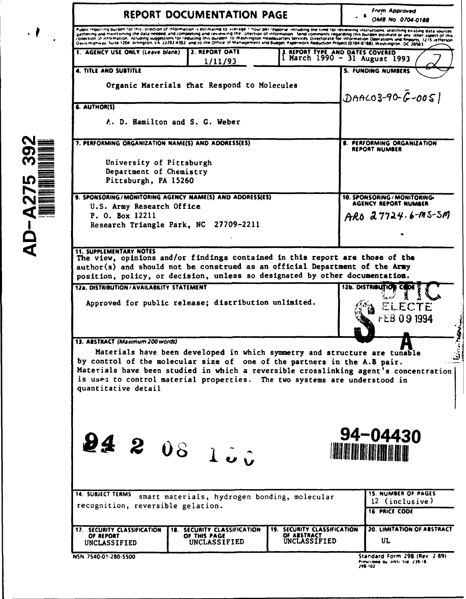| <b>REPORT DOCUMENTATION PAGE</b>                                                                                                                                                                                                                                                                                                                                                                                                                                                                                                                                                                                                                                                                                                 |                                                                             |                                                           | Form Approved<br><b>OMB No. 0704-0188</b>                                                                                 |
|----------------------------------------------------------------------------------------------------------------------------------------------------------------------------------------------------------------------------------------------------------------------------------------------------------------------------------------------------------------------------------------------------------------------------------------------------------------------------------------------------------------------------------------------------------------------------------------------------------------------------------------------------------------------------------------------------------------------------------|-----------------------------------------------------------------------------|-----------------------------------------------------------|---------------------------------------------------------------------------------------------------------------------------|
| Public reporting burden for this collection of information is estimated to virging in our per response, including the time for reviewing instructions, searching easting data sources<br>gathering and maintaining the data needed, and completing and reviewing the collection of information. Send comments regarding this burden estimate or any sther aspect of this<br>galienting and mormation, ncluding suggestions for reducing this purden. to Washington Headquarters Services, Directorate for information Operations and Reports, 1215 reflerion<br>Oavis Highway, Suite 1204, Arlington, VA. 22202-4302, and to the Office of Management and Budget, Paperwork Reduction Project (0704-0188), Washington, OC 20503. |                                                                             |                                                           |                                                                                                                           |
| 1. AGENCY USE ONLY (Leave blank)                                                                                                                                                                                                                                                                                                                                                                                                                                                                                                                                                                                                                                                                                                 | 2. REPORT DATE<br>1/11/93                                                   |                                                           | 3 REPORT TYPE AND DATES COVERED<br>1 March 1990 - 31 August 1993                                                          |
| <b>4. TITLE AND SUBTITLE</b>                                                                                                                                                                                                                                                                                                                                                                                                                                                                                                                                                                                                                                                                                                     |                                                                             |                                                           | <b>5. FUNDING NUMBERS</b>                                                                                                 |
| Organic Materials that Respond to Molecules                                                                                                                                                                                                                                                                                                                                                                                                                                                                                                                                                                                                                                                                                      |                                                                             |                                                           | $DAACO3-90-6-005$                                                                                                         |
| 6. AUTHOR(S)<br>A. D. Hamilton and S. G. Weber                                                                                                                                                                                                                                                                                                                                                                                                                                                                                                                                                                                                                                                                                   |                                                                             |                                                           |                                                                                                                           |
|                                                                                                                                                                                                                                                                                                                                                                                                                                                                                                                                                                                                                                                                                                                                  |                                                                             |                                                           |                                                                                                                           |
| 7. PERFORMING ORGANIZATION NAME(S) AND ADDRESS(ES)                                                                                                                                                                                                                                                                                                                                                                                                                                                                                                                                                                                                                                                                               |                                                                             | <b>8. PERFORMING ORGANIZATION</b><br><b>REPORT NUMBER</b> |                                                                                                                           |
| University of Pittsburgh                                                                                                                                                                                                                                                                                                                                                                                                                                                                                                                                                                                                                                                                                                         |                                                                             |                                                           |                                                                                                                           |
| Department of Chemistry<br>Pittsburgh, PA 15260                                                                                                                                                                                                                                                                                                                                                                                                                                                                                                                                                                                                                                                                                  |                                                                             |                                                           |                                                                                                                           |
| 9. SPONSORING/MONITORING AGENCY NAME(S) AND ADDRESS(ES)                                                                                                                                                                                                                                                                                                                                                                                                                                                                                                                                                                                                                                                                          |                                                                             |                                                           | 10. SPONSORING / MONITORING-<br><b>AGENCY REPORT NUMBER</b>                                                               |
| U.S. Army Research Office<br>P. O. Box 12211<br>Research Triangle Park, NC 27709-2211                                                                                                                                                                                                                                                                                                                                                                                                                                                                                                                                                                                                                                            |                                                                             |                                                           | ARO 27724.6-MS-SM                                                                                                         |
|                                                                                                                                                                                                                                                                                                                                                                                                                                                                                                                                                                                                                                                                                                                                  |                                                                             |                                                           |                                                                                                                           |
| 12a. DISTRIBUTION/AVAILABILITY STATEMENT<br>Approved for public release; distribution unlimited.                                                                                                                                                                                                                                                                                                                                                                                                                                                                                                                                                                                                                                 |                                                                             |                                                           | 12b. DISTRIBUTION CODE<br>ELECTF<br>FEB 09 1994                                                                           |
|                                                                                                                                                                                                                                                                                                                                                                                                                                                                                                                                                                                                                                                                                                                                  |                                                                             |                                                           |                                                                                                                           |
| by control of the molecular size of one of the partners in the A.B pair.<br>Materials have been studied in which a reversible crosslinking agent's concentration<br>is used to control material properties. The two systems are understood in<br>quantitative detail<br>24 2 08 loi                                                                                                                                                                                                                                                                                                                                                                                                                                              |                                                                             |                                                           | Materials have been developed in which symmetry and structure are tunable<br>94-04430<br><b>IN THE REAL PROPERTY OF A</b> |
| <b>14. SUBJECT TERMS</b><br>recognition, reversible gelation.<br><b>17. SECURITY CLASSIFICATION</b>                                                                                                                                                                                                                                                                                                                                                                                                                                                                                                                                                                                                                              | smart materials, hydrogen bonding, molecular<br>18. SECURITY CLASSIFICATION | <b>19. SECURITY CLASSIFICATION</b>                        | <b>15. NUMBER OF PAGES</b><br>12 (inclusive)<br><b>16. PRICE CODE</b><br>20. LIMITATION OF ABSTRACT                       |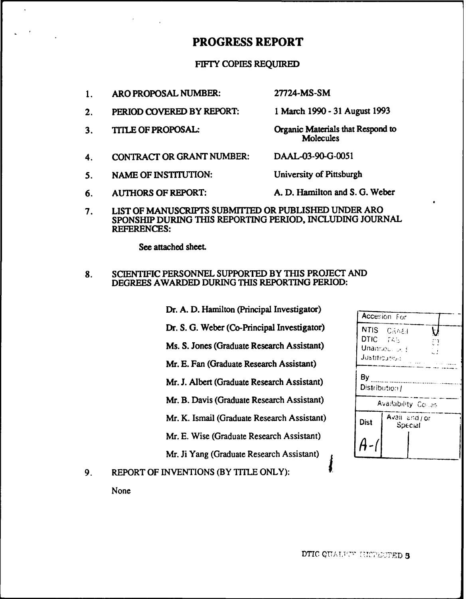# PROGRESS REPORT

# FIFTY COPIES REQUIRED

1. ARO PROPOSAL NUMBER: 27724-MS-SM

- 2. PERIOD COVERED BY REPORT: 1 March 1990 31 August 1993
- 3. TITLE OF PROPOSAL: Organic Materials that Respond to
- 4. CONTRACT OR GRANT NUMBER: DAAL-03-90-G-0051
- 5. NAME OF INSTITUTION: University of Pittsburgh

**Molecules** 

- 6. AUTHORS OF REPORT: A. D. Hamilton and S. G. Weber
- 7. LIST OF MANUSCRIPTS SUBMITTED OR PUBLISHED UNDER ARO SPONSHIP DURING THIS REPORTING PERIOD, INCLUDING JOURNAL REFERENCES:

See attached sheet

# 8. SCIENTIFIC PERSONNEL SUPPORTED BY THIS PROJECT AND DEGREES AWARDED DURING THIS REPORTING PERIOD:

- Dr. A. D. Hamilton (Principal Investigator)
- Dr. S. G. Weber (Co-Principal Investigator)
- Ms. S. Jones (Graduate Research Assistant)
- Mr. E. Fan (Graduate Research Assistant)
- Mr. J. Albert (Graduate Research Assistant)
- Mr. B. Davis (Graduate Research Assistant)
- Mr. K. Ismail (Graduate Research Assistant)
- Mr. E. Wise (Graduate Research Assistant) *64*

Mr. Ji Yang (Graduate Research Assistant)

9. REPORT OF INVENTIONS (BY TITLE ONLY):

None

| DT. A. D. Hamilton (Principal Investigator) |                                  | Accesion For              |  |  |
|---------------------------------------------|----------------------------------|---------------------------|--|--|
| Dr. S. G. Weber (Co-Principal Investigator) | <b>NTIS</b>                      | CRAEL                     |  |  |
| Ms. S. Jones (Graduate Research Assistant)  | DTIC TABLE<br>Ð<br>Unannou, Unit |                           |  |  |
| Mr. E. Fan (Graduate Research Assistant)    |                                  | <b>Justification:</b>     |  |  |
| Mr. J. Albert (Graduate Research Assistant) | By<br>Distribution /             |                           |  |  |
| Mr. B. Davis (Graduate Research Assistant)  | Availability Colles              |                           |  |  |
| Mr. K. Ismail (Graduate Research Assistant) | Dist                             | Avail and / or<br>Special |  |  |
| Mr. E. Wise (Graduate Research Assistant)   |                                  |                           |  |  |
| Mr. Ii Yang (Graduate Research Assistant)   |                                  |                           |  |  |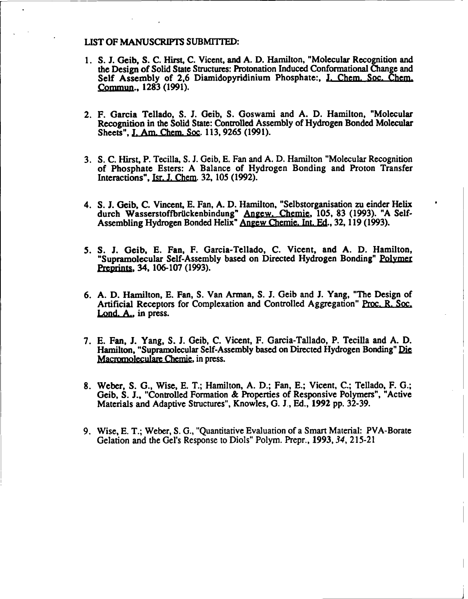## **LIST** OF MANUSCRIPTS SUBMITIED:

- 1. S. J. Geib, S. C. Hirst, C. Vicent, and A. D. Hamilton, "Molecular Recognition and the Design of Solid State Structures: Protonation Induced Conformational Change and Self Assembly of 2,6 Diamidopyridinium Phosphate:, J. Chem. Soc. Chem. Commun., 1283 (1991).
- 2. F. Garcia Tellado, S. J. Geib, S. Goswami and A. D. Hamilton, "Molecular Recognition in the Solid State: Controlled Assembly of Hydrogen Bonded Molecular Sheets", **J.** Am. Chem. Soc. 113, 9265 (1991).
- 3. **S.** C. Hirst, P. Tecilla, S. J. Geib, E. Fan and A. D. Hamilton "Molecular Recognition of Phosphate Esters: A Balance of Hydrogen Bonding and Proton Transfer Interactions", Isr. J. Chem. 32, 105 (1992).
- 4. **S.** J. Geib, C. Vincent, E. Fan, A. D. Hamilton, "Selbstorganisation zu einder Helix durch Wasserstoffbrückenbindung" Angew. Chemie, 105, 83 (1993). "A Self-Assembling Hydrogen Bonded Helix" Angew Chemie. Int. Ed., 32, 119 (1993).
- *5.* **S.** J. Geib, E. Fan, F. Garcia-Tellado, C. Vicent, and A. D. Hamilton, "Supramolecular Self-Assembly based on Directed Hydrogen Bonding" Polyme *Prepdnts* 34, 106-107 (1993).
- 6. A. D. Hamilton, E. Fan, S. Van Arman, S. J. Geib and J. Yang, "The Design of Artificial Receptors for Complexation and Controlled Aggregation" Proc. R. Soc. Lond. A., in press.
- 7. E. Fan, J. Yang, S. J. Geib, C. Vicent, F. Garcia-Tallado, P. Tecilla and A. D. Hamilton, "Supramolecular Self-Assembly based on Directed Hydrogen Bonding" Die Macromoleculare Chemie, in press.
- 8. Weber, S. G., Wise, E. T.; Hamilton, A. D.; Fan, E.; Vicent, C.; Tellado, F. G.; Geib, S. J., "Controlled Formation & Properties of Responsive Polymers", "Active Materials and Adaptive Structures", Knowles, G. **1,** Ed., 1992 pp. 32-39.
- 9. Wise, E. T.; Weber, S. G., "Quantitative Evaluation of a Smart Material: PVA-Borate Gelation and the Gel's Response to Diols" Polym. Prepr., 1993,34, 215-21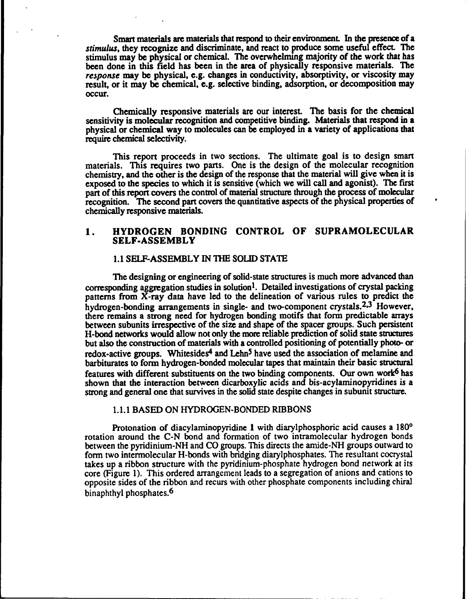Smart materials are materials that respond to their enviromnent. In the presence of a *stimulus,* they recognize and discriminate, and react to produce some useful effect. The stimulus may be physical or chemical. The overwhelming majority of the work that has been done in this field has been in the area of physically responsive materials. The *response* may be physical, e.g. changes in conductivity, absorptivity, or viscosity may result, or it may be chemical, e.g. selective binding, adsorption, or decomposition may occur.

Chemically responsive materials are our interest. The basis for the chemical sensitivity is molecular recognition and competitive binding. Materials that respond in a physical or chemical way to molecules can be employed in a variety of applications that require chemical selectivity.

This report proceeds in two sections. The ultimate goal is to design smart materials. This requires two parts. One is the design of the molecular recognition chemistry, and the other is the design of the response that the material will give when it is exposed to the species to which it is sensitive (which we will call and agonist). The first part of this report covers the control of material structure through the process of molecular recognition. The second part covers the quantitative aspects of the physical properties of chemically responsive materials.

# **1.** HYDROGEN BONDING CONTROL OF **SUPRAMOLECULAR SELF-ASSEMBLY**

### **1.1 SELF-ASSEMBLY IN THE** SOLID **STATE**

The designing or engineering of solid-state structures is much more advanced than corresponding aggregation studies in solution<sup>1</sup>. Detailed investigations of crystal packing patterns from X-ray data have led to the delineation of various rules to predict the hydrogen-bonding arrangements in single- and two-component crystals.<sup>2,3</sup> However there remains a strong need for hydrogen bonding motifs that form predictable arrays between subunits irrespective of the size and shape of the spacer groups. Such persistent H-bond networks would allow not only the more reliable prediction of solid state structures but also the construction of materials with a controlled positioning of potentially photo- or redox-active groups. Whitesides<sup>4</sup> and Lehn<sup>5</sup> have used the association of melamine and barbiturates to form hydrogen-bonded molecular tapes that maintain their basic structural features with different substituents on the two binding components. Our own work6 has shown that the interaction between dicarboxylic acids and bis-acylaminopyridines is a strong and general one that survives in the solid state despite changes in subunit structure.

#### 1.1.1 BASED ON HYDROGEN-BONDED RIBBONS

Protonation of diacylaminopyridine 1 with diarylphosphoric acid causes a  $180^{\circ}$ rotation around the C-N bond and formation of two intramolecular hydrogen bonds between the pyridinium-NH and CO groups. This directs the amide-NH groups outward to form two intermolecular H-bonds with bridging diarylphosphates. The resultant cocrystal takes up a ribbon structure with the pyridinium-phosphate hydrogen bond network at its core (Figure 1). This ordered arrangement leads to a segregation of anions and cations to opposite sides of the ribbon and recurs with other phosphate components including chiral binaphthyl phosphates.<sup>6</sup>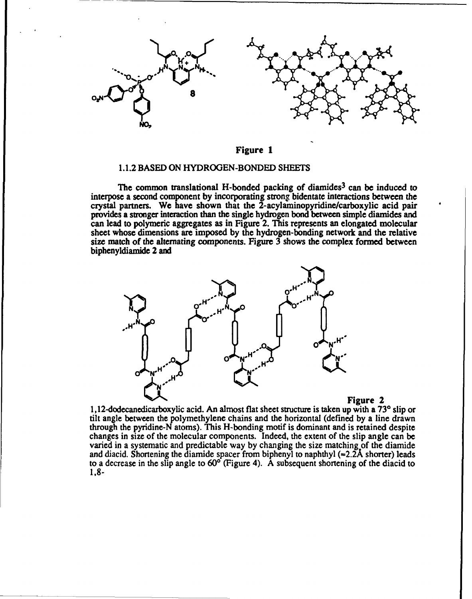

## Figure 1

#### 1.1.2 BASED ON HYDROGEN-BONDED SHEETS

The common translational H-bonded packing of diamides<sup>3</sup> can be induced to interpose a second component by incorporating strong bidentate interactions between the crystal partners. We have shown that the 2-acylaminopyridine/carboxylic acid pair provides a stronger interaction than the single hydrogen bond between simple diamides and can lead to polymeric aggregates as in Figure 2. This represents an elongated molecular sheet whose dimensions are imposed by the hydrogen-bonding network and the relative size match of the alternating components. Figure  $\overline{3}$  shows the complex formed between biphenyldiamide 2 and



1,12-dodecanedicarboxylic acid. An almost flat sheet structure is taken up with a **730** slip or tilt angle between the polymethylene chains and the horizontal (defined by a line drawn through the pyridine-N atoms). This H-bonding motif is dominant and is retained despite changes in size of the molecular components. Indeed, the extent of the slip angle can be varied in a systematic and predictable way by changing the size matching of the diamide and diacid. Shortening the diamide spacer from biphenyl to naphthyl  $(=2.2\text{Å shorter})$  leads to a decrease in the slip angle to  $60^\circ$  (Figure 4). A subsequent shortening of the diacid to 1,8-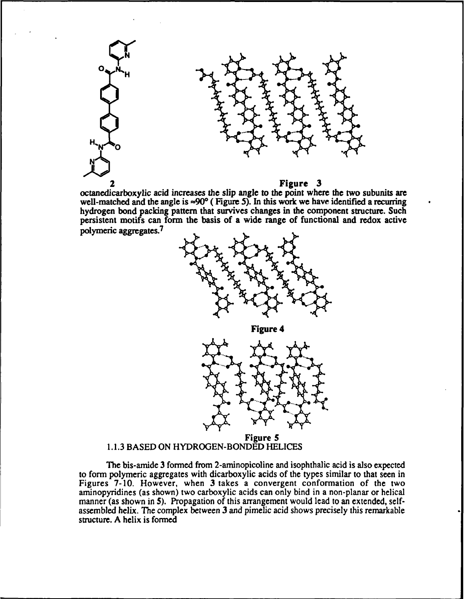

octanedicarboxylic acid increases the slip angle to the point where the two subunits are well-matched and the angle is **=90°** ( Figure *5).* In this work we have identified a recurring hydrogen bond packing pattern that survives changes in the component structure. Such persistent motifs can form the basis of a wide range of functional and redox active polymeric aggregates.1



Figure 4



Figure *5* 1.1.3 BASED ON HYDROGEN-BONDED HELICES

The bis-amide 3 formed from 2-aminopicoline and isophthalic acid is also expected to form polymeric aggregates with dicarboxylic acids of the types similar to that seen in Figures 7-10. However, when 3 takes a convergent conformation of the two aminopyridines (as shown) two carboxylic acids can only bind in a non-planar or helical manner (as shown in 5). Propagation of this arrangement would lead to an extended, selfassembled helix. The complex between 3 and pimelic acid shows precisely this remarkable structure. A helix is formed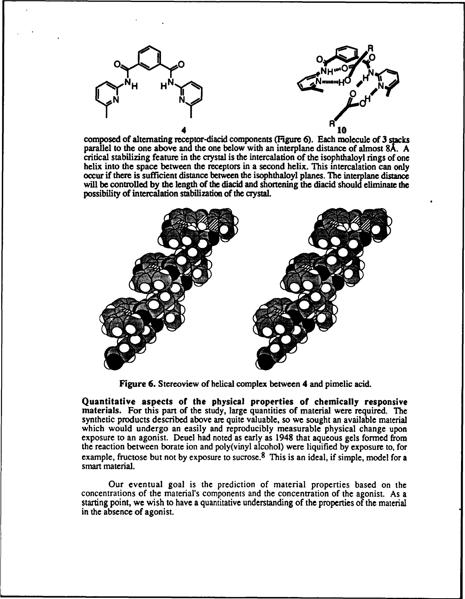



composed of alternating receptor-diacid components (Figure 6). Each molecule of 3 stacks parallel to the one above and the one below with an interplane distance of almost 8A. A critical stabilizing feature in the crystal is the intercalation of the isophthaloyl rings of one helix into the space between the receptors in a second helix. This intercalation can only occur if there is sufficient distance between the isophthaloyl planes. The interplane distance will be controlled by the length of the diacid and shortening the diacid should eliminate the possibility of intercalation stabilization of the crystaL



Figure 6. Stereoview of helical complex between 4 and pimelic acid.

Quantitative aspects of the physical properties of chemically responsive materials. For this part of the study, large quantities of material were required. The synthetic products described above are quite valuable, so we sought an available material which would undergo an easily and reproducibly measurable physical change upon exposure to an agonist. Deuel had noted as early as 1948 that aqueous gels formed from the reaction between borate ion and poly(vinyl alcohol) were liquified by exposure to, for example, fructose but not by exposure to sucrose.<sup>8</sup> This is an ideal, if simple, model for a smart material.

Our eventual goal is the prediction of material properties based on the concentrations of the material's components and the concentration of the agonist. As a starting point, we wish to have a quantitative understanding of the properties of the material in the absence of agonist.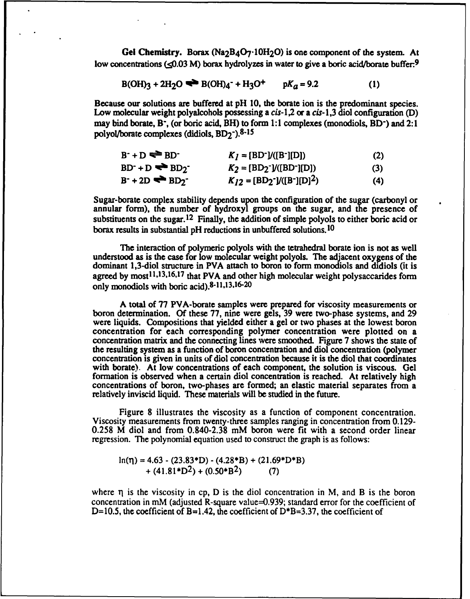Gel Chemistry. Borax (Na<sub>2</sub>B<sub>4</sub>O<sub>7</sub>.10H<sub>2</sub>O) is one component of the system. At low concentrations  $\leq 0.03$  M) borax hydrolyzes in water to give a boric acid/borate buffer.<sup>9</sup>

$$
B(OH)_3 + 2H_2O \implies B(OH)_4 - H_3O^+ \qquad pK_a = 9.2 \tag{1}
$$

Because our solutions are buffered at pH 10, the borate ion is the predominant species. Low molecular weight polyalcohols possessing a  $cis-1,2$  or a  $cis-1,3$  diol configuration (D) may bind borate, B<sup>-</sup>, (or boric acid, BH) to form 1:1 complexes (monodiols, BD<sup>-</sup>) and 2:1 polyol/borate complexes (didiols,  $BD_2^-$ ).<sup>8-15</sup>

 $B^+ + D \implies BD^+$  *K<sub>1</sub>* = [BD<sup>-</sup>]/([B<sup>-</sup>][D]) (2)

$$
BD^+ + D \iff BD_2^- \qquad K_2 = [BD_2^{\bullet}]/([BD^{\bullet}][D]) \tag{3}
$$

$$
B^+ + 2D \iff BD_2^- \qquad K_{12} = (BD_2^-]/((B^-)[D]^2) \tag{4}
$$

Sugar-borate complex stability depends upon the configuration of the sugar (carbonyl or annular form), the number of hydroxyl groups on the sugar, and the presence of substituents on the sugar.<sup>12</sup> Finally, the addition of simple polyols to either boric acid or borax results in substantial pH reductions in unbuffered solutions. 10

The interaction of polymeric polyols with the tetrahedral borate ion is not as well understood as is the case for low molecular weight polyols. The adjacent oxygens of the dominant 1,3-diol structure in PVA attach to boron to form monodiols and didiols (it is agreed by most<sup>11,13,16,17</sup> that PVA and other high molecular weight polysaccarides form only monodiols with boric acid). $8-11,13,16-20$ 

A total of 77 PVA-borate samples were prepared for viscosity measurements or boron determination. Of these 77, nine were gels, 39 were two-phase systems, and 29 were liquids. Compositions that yielded either a gel or two phases at the lowest boron concentration for each corresponding polymer concentration were plotted on a concentration matrix and the connecting lines were smoothed. Figure 7 shows the state of the resulting system as a function of boron concentration and diol concentration (polymer concentration is given in units of diol concentration because it is the diol that coordinates with borate). At low concentrations of each component, the solution is viscous. Gel formation is observed when a certain diol concentration is reached. At relatively high concentrations of boron, two-phases are formed; an elastic material separates from a relatively inviscid liquid. These materials will be studied in the future.

Figure 8 illustrates the viscosity as a function of component concentration. Viscosity measurements from twenty-three samples ranging in concentration from 0.129- 0.258 M diol and from 0.840-2.38 mM boron were fit with a second order linear regression. The polynomial equation used to construct the graph is as follows:

 $ln(\eta) = 4.63 - (23.83*D) - (4.28*B) + (21.69*D*B)$  $+(41.81*D<sup>2</sup>)+(0.50*B<sup>2</sup>)$  (7)

where  $\eta$  is the viscosity in cp, D is the diol concentration in M, and B is the boron concentration in mM (adjusted R-square value=0.939; standard error for the coefficient of D=10.5, the coefficient of B=1.42, the coefficient of  $D^*B=3.37$ , the coefficient of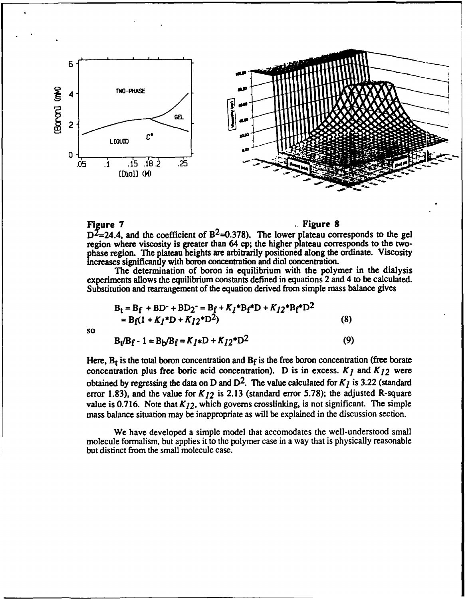

# Figure 7 and 1980 and 1980 and 1980 and 1980 and 1980 and 1980 and 1980 and 1980 and 1980 and 1980 and 1980 and 1980 and 1980 and 1980 and 1980 and 1980 and 1980 and 1980 and 1980 and 1980 and 1980 and 1980 and 1980 and 19

 $D^2$ =24.4, and the coefficient of B<sup>2</sup>=0.378). The lower plateau corresponds to the gel region where viscosity is greater than 64 cp; the higher plateau corresponds to the twophase region. The plateau heights are arbitrarily positioned along the ordinate. Viscosity increases significantly with boron concentration and diol concentration.

The determination of boron in equilibrium with the polymer in the dialysis experiments allows the equilibrium constants defined in equations 2 and 4 to be calculated. Substitution and rearrangement of the equation derived from simple mass balance gives

$$
B_t = B_f + BD^+ + BD_2^- = B_f + K_I^*B_f^*D + K_{I2}^*B_f^*D^2
$$
  
= B\_f(1 + K\_I^\*D + K\_{I2}^\*D^2) (8)

so

 $B_t/B_f - 1 = B_b/B_f = K_I * D + K_{I2} * D^2$  (9)

Here,  $B_t$  is the total boron concentration and  $B_f$  is the free boron concentration (free borate concentration plus free boric acid concentration). D is in excess.  $K_I$  and  $K_{I2}$  were obtained by regressing the data on D and  $D^2$ . The value calculated for  $K_I$  is 3.22 (standard error 1.83), and the value for  $K_{12}$  is 2.13 (standard error 5.78); the adjusted R-square value is 0.716. Note that  $K_{12}$ , which governs crosslinking, is not significant. The simple mass balance situation may be inappropriate as will be explained in the discussion section.

We have developed a simple model that accomodates the well-understood small molecule formalism, but applies it to the polymer case in a way that is physically reasonable but distinct from the small molecule case.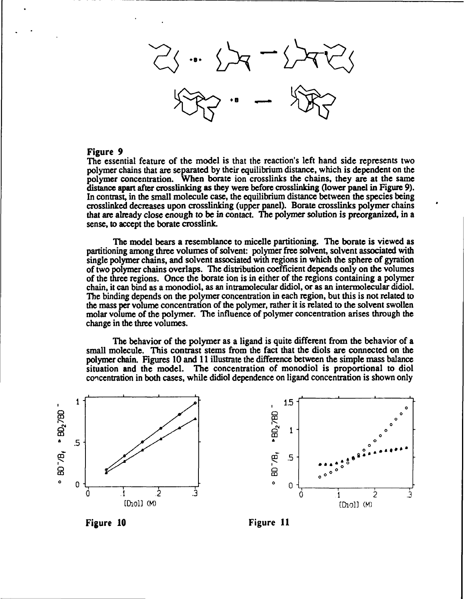#### Figure 9

The essential feature of the model is that the reaction's left hand side represents two polymer chains that are separated by their equilibrium distance, which is dependent on the polymer concentration. When borate ion crosslinks the chains, they are at the same distance apart after crosslinking as they were before crosslinking (lower panel in Figure 9). In contrast, in the small molecule case, the equilibrium distance between the species being crosslinked decreases upon crosslinking (upper panel). Borate crosslinks polymer chains that are already close enough to be in contact. The polymer solution is preorganized, in a sense, to accept the borate crosslink.

The model bears a resemblance to micelle partitioning. The borate is viewed as partitioning among three volumes of solvent: polymer free solvent, solvent associated with single polymer chains, and solvent associated with regions in which the sphere of gyration of two polymer chains overlaps. The distribution coefficient depends only on the volumes of the three regions. Once the borate ion is in either of the regions containing a polymer chain, it can bind as a monodiol, as an intramolecular didiol, or as an intermolecular didiol. The binding depends on the polymer concentration in each region, but this is not related to the mass per volume concentration of the polymer, rather it is related to the solvent swollen molar volume of the polymer. The influence of polymer concentration arises through the change in the three volumes.

The behavior of the polymer as a ligand is quite different from the behavior of a small molecule. This contrast stems from the fact that the diols are connected on the polymer chain. Figures 10 and 11 illustrate the difference between the simple mass balance situation and the model. The concentration of monodiol is proportional to diol concentration in both cases, while didiol dependence on ligand concentration is shown only





Figure **10** Figure **11**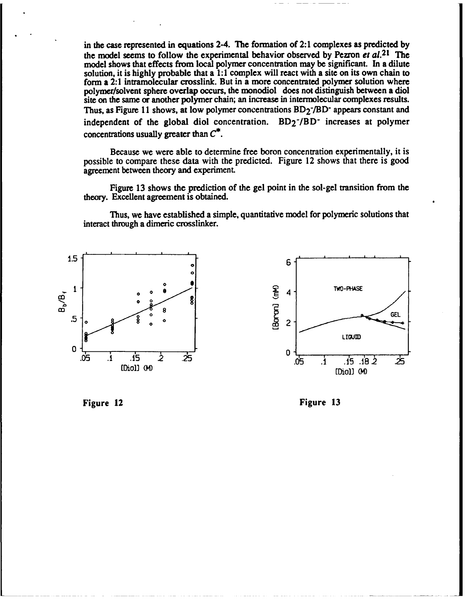in the case represented in equations 2-4. The formation of 2:1 complexes as predicted by the model seems to follow the experimental behavior observed by Pezron et  $al$ .<sup>21</sup> The model shows that effects from local polymer concentration may be significant. In a dilute solution, it is highly probable that a 1:1 complex will react with a site on its own chain to form a 2:1 intramolecular crosslink. But in a more concentrated polymer solution where polymer/solvent sphere overlap occurs, the monodiol does not distinguish between a diol site on the same or another polymer chain; an increase in intermolecular complexes results. Thus, as Figure 11 shows, at low polymer concentrations  $BD_2$ - $/BD$ - appears constant and independent of the global diol concentration.  $BD_2^-/BD^-$  increases at polymer concentrations usually greater than **C\*.**

Because we were able to determine free boron concentration experimentally, it is possible to compare these data with the predicted. Figure 12 shows that there is good agreement between theory and experiment.

Figure 13 shows the prediction of the gel point in the sol-gel transition from the theory. Excellent agreement is obtained.

Thus, we have established a simple, quantitative model for polymeric solutions that interact through a dimeric crosslinker.